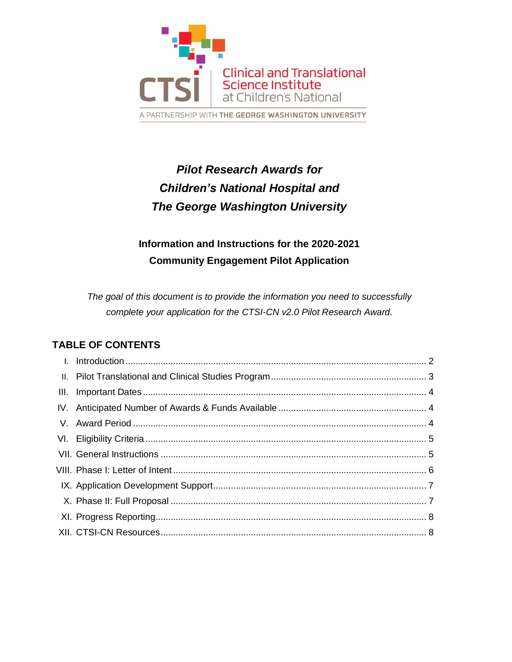

# *Pilot Research Awards for Children's National Hospital and The George Washington University*

## **Information and Instructions for the 2020-2021 Community Engagement Pilot Application**

*The goal of this document is to provide the information you need to successfully complete your application for the CTSI-CN v2.0 Pilot Research Award.*

## **TABLE OF CONTENTS**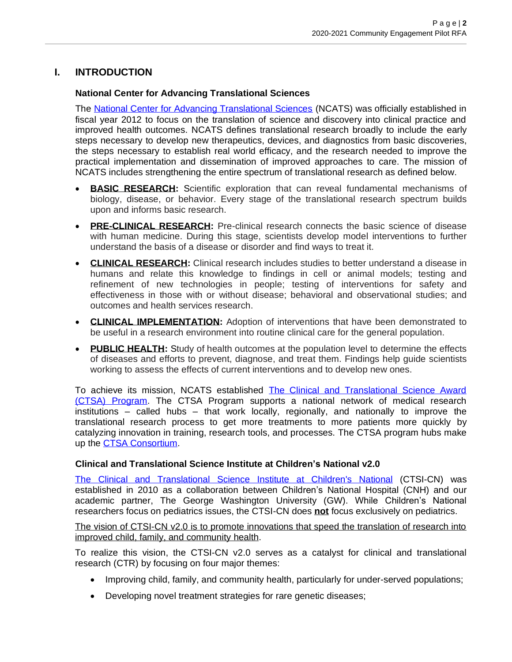## **I. INTRODUCTION**

#### **National Center for Advancing Translational Sciences**

The [National Center for Advancing Translational Sciences](https://ncats.nih.gov/) (NCATS) was officially established in fiscal year 2012 to focus on the translation of science and discovery into clinical practice and improved health outcomes. NCATS defines translational research broadly to include the early steps necessary to develop new therapeutics, devices, and diagnostics from basic discoveries, the steps necessary to establish real world efficacy, and the research needed to improve the practical implementation and dissemination of improved approaches to care. The mission of NCATS includes strengthening the entire spectrum of translational research as defined below.

- **BASIC RESEARCH:** Scientific exploration that can reveal fundamental mechanisms of biology, disease, or behavior. Every stage of the translational research spectrum builds upon and informs basic research.
- **PRE-CLINICAL RESEARCH:** Pre-clinical research connects the basic science of disease with human medicine. During this stage, scientists develop model interventions to further understand the basis of a disease or disorder and find ways to treat it.
- **CLINICAL RESEARCH:** Clinical research includes studies to better understand a disease in humans and relate this knowledge to findings in cell or animal models; testing and refinement of new technologies in people; testing of interventions for safety and effectiveness in those with or without disease; behavioral and observational studies; and outcomes and health services research.
- **CLINICAL IMPLEMENTATION:** Adoption of interventions that have been demonstrated to be useful in a research environment into routine clinical care for the general population.
- **PUBLIC HEALTH:** Study of health outcomes at the population level to determine the effects of diseases and efforts to prevent, diagnose, and treat them. Findings help guide scientists working to assess the effects of current interventions and to develop new ones.

To achieve its mission, NCATS established The Clinical and Translational Science Award [\(CTSA\) Program.](https://ctsa.ncats.nih.gov/) The CTSA Program supports a national network of medical research institutions – called hubs – that work locally, regionally, and nationally to improve the translational research process to get more treatments to more patients more quickly by catalyzing innovation in training, research tools, and processes. The CTSA program hubs make up the **CTSA Consortium**.

#### **Clinical and Translational Science Institute at Children's National v2.0**

The Clinical and [Translational](https://www.ctsicn.org/) Science Institute at Children's National (CTSI-CN) was established in 2010 as a collaboration between Children's National Hospital (CNH) and our academic partner, The George Washington University (GW). While Children's National researchers focus on pediatrics issues, the CTSI-CN does **not** focus exclusively on pediatrics.

The vision of CTSI-CN v2.0 is to promote innovations that speed the translation of research into improved child, family, and community health.

To realize this vision, the CTSI-CN v2.0 serves as a catalyst for clinical and translational research (CTR) by focusing on four major themes:

- Improving child, family, and community health, particularly for under-served populations;
- Developing novel treatment strategies for rare genetic diseases;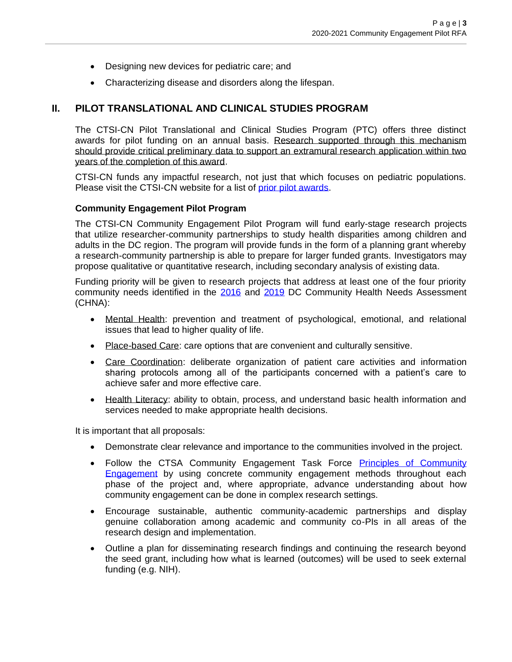- Designing new devices for pediatric care; and
- Characterizing disease and disorders along the lifespan.

#### **II. PILOT TRANSLATIONAL AND CLINICAL STUDIES PROGRAM**

The CTSI-CN Pilot Translational and Clinical Studies Program (PTC) offers three distinct awards for pilot funding on an annual basis. Research supported through this mechanism should provide critical preliminary data to support an extramural research application within two years of the completion of this award.

CTSI-CN funds any impactful research, not just that which focuses on pediatric populations. Please visit the CTSI-CN website for a list of [prior pilot awards.](https://ctsicn.org/awardedprojects)

#### **Community Engagement Pilot Program**

The CTSI-CN Community Engagement Pilot Program will fund early-stage research projects that utilize researcher-community partnerships to study health disparities among children and adults in the DC region. The program will provide funds in the form of a planning grant whereby a research-community partnership is able to prepare for larger funded grants. Investigators may propose qualitative or quantitative research, including secondary analysis of existing data.

Funding priority will be given to research projects that address at least one of the four priority community needs identified in the [2016](http://assets.thehcn.net/content/sites/washingtondc/2016_DC_CHNA_062416_FINAL.pdf) and [2019](http://www.dchealthmatters.org/content/sites/washingtondc/2019_DC_CHNA_FINAL.pdf) DC Community Health Needs Assessment (CHNA):

- Mental Health: prevention and treatment of psychological, emotional, and relational issues that lead to higher quality of life.
- Place-based Care: care options that are convenient and culturally sensitive.
- Care Coordination: deliberate organization of patient care activities and information sharing protocols among all of the participants concerned with a patient's care to achieve safer and more effective care.
- Health Literacy: ability to obtain, process, and understand basic health information and services needed to make appropriate health decisions.

It is important that all proposals:

- Demonstrate clear relevance and importance to the communities involved in the project.
- Follow the CTSA Community Engagement Task Force Principles of Community [Engagement](https://www.atsdr.cdc.gov/communityengagement/pdf/PCE_Report_508_FINAL.pdf) by using concrete community engagement methods throughout each phase of the project and, where appropriate, advance understanding about how community engagement can be done in complex research settings.
- Encourage sustainable, authentic community-academic partnerships and display genuine collaboration among academic and community co-PIs in all areas of the research design and implementation.
- Outline a plan for disseminating research findings and continuing the research beyond the seed grant, including how what is learned (outcomes) will be used to seek external funding (e.g. NIH).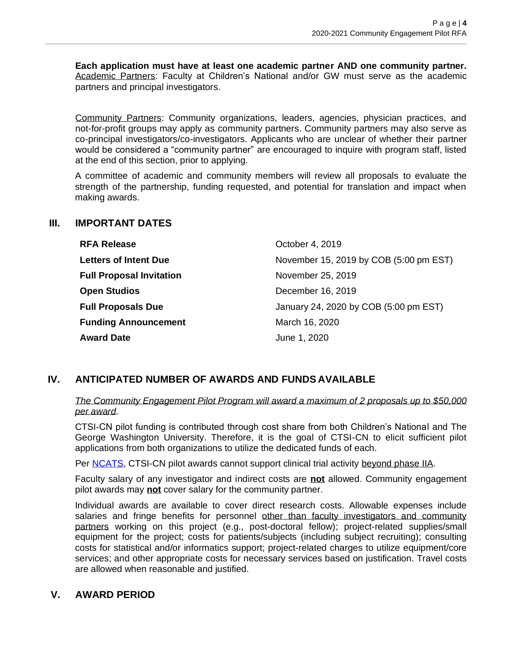**Each application must have at least one academic partner AND one community partner.**  Academic Partners: Faculty at Children's National and/or GW must serve as the academic partners and principal investigators.

Community Partners: Community organizations, leaders, agencies, physician practices, and not-for-profit groups may apply as community partners. Community partners may also serve as co-principal investigators/co-investigators. Applicants who are unclear of whether their partner would be considered a "community partner" are encouraged to inquire with program staff, listed at the end of this section, prior to applying.

A committee of academic and community members will review all proposals to evaluate the strength of the partnership, funding requested, and potential for translation and impact when making awards.

#### **III. IMPORTANT DATES**

| <b>RFA Release</b>              | October 4, 2019                        |
|---------------------------------|----------------------------------------|
| <b>Letters of Intent Due</b>    | November 15, 2019 by COB (5:00 pm EST) |
| <b>Full Proposal Invitation</b> | November 25, 2019                      |
| <b>Open Studios</b>             | December 16, 2019                      |
| <b>Full Proposals Due</b>       | January 24, 2020 by COB (5:00 pm EST)  |
| <b>Funding Announcement</b>     | March 16, 2020                         |
| <b>Award Date</b>               | June 1, 2020                           |

## **IV. ANTICIPATED NUMBER OF AWARDS AND FUNDS AVAILABLE**

#### *The Community Engagement Pilot Program will award a maximum of 2 proposals up to \$50,000 per award.*

CTSI-CN pilot funding is contributed through cost share from both Children's National and The George Washington University. Therefore, it is the goal of CTSI-CN to elicit sufficient pilot applications from both organizations to utilize the dedicated funds of each.

Per **NCATS**, CTSI-CN pilot awards cannot support clinical trial activity beyond phase IIA.

Faculty salary of any investigator and indirect costs are **not** allowed. Community engagement pilot awards may **not** cover salary for the community partner.

Individual awards are available to cover direct research costs. Allowable expenses include salaries and fringe benefits for personnel other than faculty investigators and community partners working on this project (e.g., post-doctoral fellow); project-related supplies/small equipment for the project; costs for patients/subjects (including subject recruiting); consulting costs for statistical and/or informatics support; project-related charges to utilize equipment/core services; and other appropriate costs for necessary services based on justification. Travel costs are allowed when reasonable and justified.

## **V. AWARD PERIOD**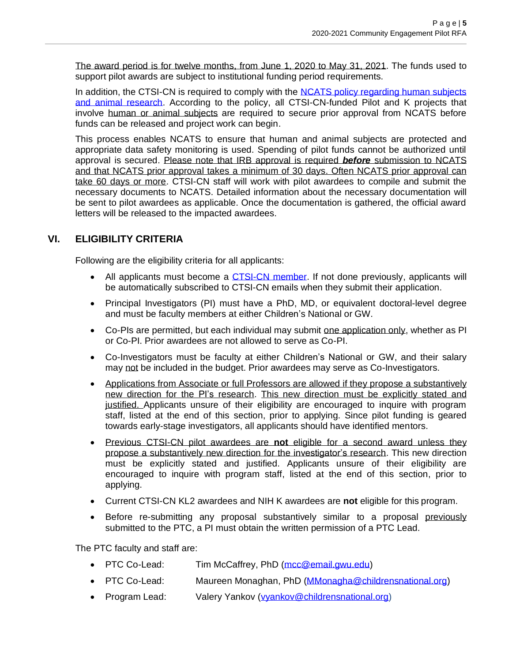The award period is for twelve months, from June 1, 2020 to May 31, 2021. The funds used to support pilot awards are subject to institutional funding period requirements.

In addition, the CTSI-CN is required to comply with the NCATS policy regarding human subjects [and animal research.](https://ncats.nih.gov/funding/grantees/approval-faq) According to the policy, all CTSI-CN-funded Pilot and K projects that involve human or animal subjects are required to secure prior approval from NCATS before funds can be released and project work can begin.

This process enables NCATS to ensure that human and animal subjects are protected and appropriate data safety monitoring is used. Spending of pilot funds cannot be authorized until approval is secured. Please note that IRB approval is required *before* submission to NCATS and that NCATS prior approval takes a minimum of 30 days. Often NCATS prior approval can take 60 days or more. CTSI-CN staff will work with pilot awardees to compile and submit the necessary documents to NCATS. Detailed information about the necessary documentation will be sent to pilot awardees as applicable. Once the documentation is gathered, the official award letters will be released to the impacted awardees.

## **VI. ELIGIBILITY CRITERIA**

Following are the eligibility criteria for all applicants:

- All applicants must become a [CTSI-CN](https://visitor.r20.constantcontact.com/manage/optin?v=001L7pmMP5BCByrEEoHKtboei8GSMar6s_Q6pNjIoymhq5l84wfLIgHJXbMNuXIBBMwKiAxz4pmFMyDL_ER5FxtOVz7cj0DuMicqAqD1W6NlmE%3D) member. If not done previously, applicants will be automatically subscribed to CTSI-CN emails when they submit their application.
- Principal Investigators (PI) must have a PhD, MD, or equivalent doctoral-level degree and must be faculty members at either Children's National or GW.
- Co-PIs are permitted, but each individual may submit one application only, whether as PI or Co-PI. Prior awardees are not allowed to serve as Co-PI.
- Co-Investigators must be faculty at either Children's National or GW, and their salary may not be included in the budget. Prior awardees may serve as Co-Investigators.
- Applications from Associate or full Professors are allowed if they propose a substantively new direction for the PI's research. This new direction must be explicitly stated and justified. Applicants unsure of their eligibility are encouraged to inquire with program staff, listed at the end of this section, prior to applying. Since pilot funding is geared towards early-stage investigators, all applicants should have identified mentors.
- Previous CTSI-CN pilot awardees are **not** eligible for a second award unless they propose a substantively new direction for the investigator's research. This new direction must be explicitly stated and justified. Applicants unsure of their eligibility are encouraged to inquire with program staff, listed at the end of this section, prior to applying.
- Current CTSI-CN KL2 awardees and NIH K awardees are **not** eligible for this program.
- Before re-submitting any proposal substantively similar to a proposal previously submitted to the PTC, a PI must obtain the written permission of a PTC Lead.

The PTC faculty and staff are:

- PTC Co-Lead: Tim McCaffrey, PhD [\(mcc@email.gwu.edu\)](mailto:mcc@email.gwu.edu)
- PTC Co-Lead: Maureen Monaghan, PhD [\(MMonagha@childrensnational.org\)](mailto:MMonagha@childrensnational.org)
- Program Lead: Valery Yankov [\(vyankov@childrensnational.org\)](mailto:vyankov@childrensnational.org)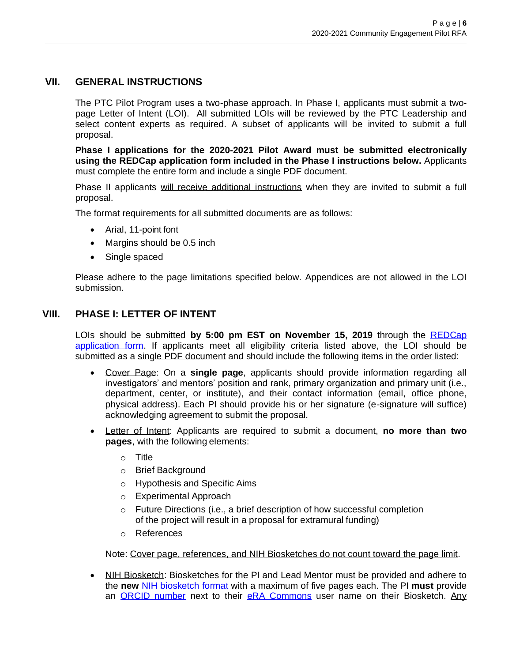## **VII. GENERAL INSTRUCTIONS**

The PTC Pilot Program uses a two-phase approach. In Phase I, applicants must submit a twopage Letter of Intent (LOI). All submitted LOIs will be reviewed by the PTC Leadership and select content experts as required. A subset of applicants will be invited to submit a full proposal.

**Phase I applications for the 2020-2021 Pilot Award must be submitted electronically using the REDCap application form included in the Phase I instructions below.** Applicants must complete the entire form and include a single PDF document.

Phase II applicants will receive additional instructions when they are invited to submit a full proposal.

The format requirements for all submitted documents are as follows:

- Arial, 11-point font
- Margins should be 0.5 inch
- Single spaced

Please adhere to the page limitations specified below. Appendices are not allowed in the LOI submission.

## **VIII. PHASE I: LETTER OF INTENT**

LOIs should be submitted **by 5:00 pm EST on November 15, 2019** through the [REDCap](https://cri-datacap.org/surveys/?s=%20HKNWJYDCJH)  [application form.](https://cri-datacap.org/surveys/?s=%20HKNWJYDCJH) If applicants meet all eligibility criteria listed above, the LOI should be submitted as a single PDF document and should include the following items in the order listed:

- Cover Page: On a **single page**, applicants should provide information regarding all investigators' and mentors' position and rank, primary organization and primary unit (i.e., department, center, or institute), and their contact information (email, office phone, physical address). Each PI should provide his or her signature (e-signature will suffice) acknowledging agreement to submit the proposal.
- Letter of Intent: Applicants are required to submit a document, **no more than two pages**, with the following elements:
	- o Title
	- o Brief Background
	- o Hypothesis and Specific Aims
	- o Experimental Approach
	- o Future Directions (i.e., a brief description of how successful completion of the project will result in a proposal for extramural funding)
	- o References

Note: Cover page, references, and NIH Biosketches do not count toward the page limit.

• NIH Biosketch: Biosketches for the PI and Lead Mentor must be provided and adhere to the **new** [NIH biosketch format](https://grants.nih.gov/grants/forms/biosketch.htm) with a maximum of five pages each. The PI **must** provide an [ORCID number](https://orcid.org/) next to their [eRA Commons](https://era.nih.gov/) user name on their Biosketch. Any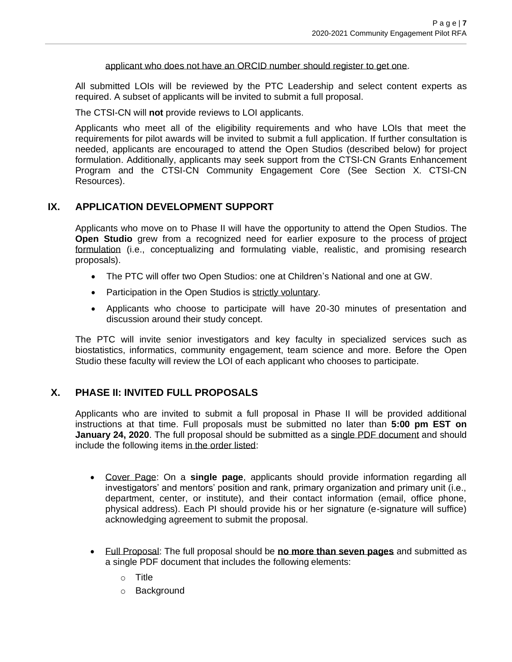applicant who does not have an ORCID number should register to get one.

All submitted LOIs will be reviewed by the PTC Leadership and select content experts as required. A subset of applicants will be invited to submit a full proposal.

The CTSI-CN will **not** provide reviews to LOI applicants.

Applicants who meet all of the eligibility requirements and who have LOIs that meet the requirements for pilot awards will be invited to submit a full application. If further consultation is needed, applicants are encouraged to attend the Open Studios (described below) for project formulation. Additionally, applicants may seek support from the CTSI-CN Grants Enhancement Program and the CTSI-CN Community Engagement Core (See Section X. CTSI-CN Resources).

#### **IX. APPLICATION DEVELOPMENT SUPPORT**

Applicants who move on to Phase II will have the opportunity to attend the Open Studios. The **Open Studio** grew from a recognized need for earlier exposure to the process of project formulation (i.e., conceptualizing and formulating viable, realistic, and promising research proposals).

- The PTC will offer two Open Studios: one at Children's National and one at GW.
- Participation in the Open Studios is strictly voluntary.
- Applicants who choose to participate will have 20-30 minutes of presentation and discussion around their study concept.

The PTC will invite senior investigators and key faculty in specialized services such as biostatistics, informatics, community engagement, team science and more. Before the Open Studio these faculty will review the LOI of each applicant who chooses to participate.

## **X. PHASE II: INVITED FULL PROPOSALS**

Applicants who are invited to submit a full proposal in Phase II will be provided additional instructions at that time. Full proposals must be submitted no later than **5:00 pm EST on January 24, 2020**. The full proposal should be submitted as a single PDF document and should include the following items in the order listed:

- Cover Page: On a **single page**, applicants should provide information regarding all investigators' and mentors' position and rank, primary organization and primary unit (i.e., department, center, or institute), and their contact information (email, office phone, physical address). Each PI should provide his or her signature (e-signature will suffice) acknowledging agreement to submit the proposal.
- Full Proposal: The full proposal should be **no more than seven pages** and submitted as a single PDF document that includes the following elements:
	- o Title
	- o Background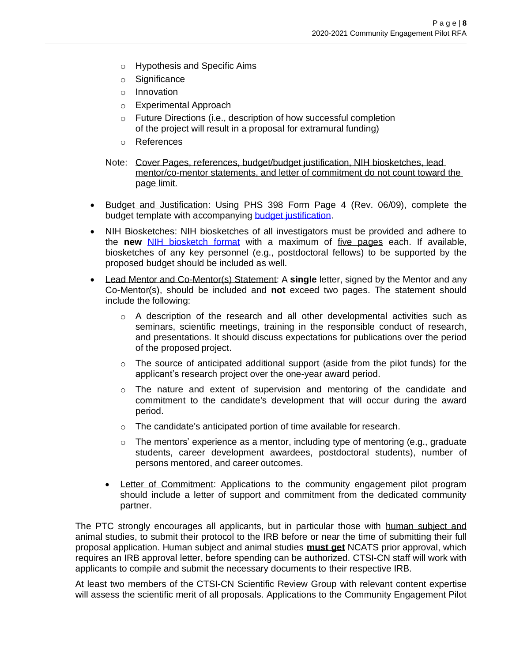- o Hypothesis and Specific Aims
- o Significance
- o Innovation
- o Experimental Approach
- o Future Directions (i.e., description of how successful completion of the project will result in a proposal for extramural funding)
- o References
- Note: Cover Pages, references, budget/budget justification, NIH biosketches, lead mentor/co-mentor statements, and letter of commitment do not count toward the page limit.
- Budget and Justification: Using PHS 398 Form Page 4 (Rev. 06/09), complete the budget template with accompanying budget [justification.](https://grants.nih.gov/grants/funding/phs398/fp4.pdf)
- NIH Biosketches: NIH biosketches of all investigators must be provided and adhere to the **new** [NIH biosketch format](https://grants.nih.gov/grants/forms/biosketch.htm) with a maximum of five pages each. If available, biosketches of any key personnel (e.g., postdoctoral fellows) to be supported by the proposed budget should be included as well.
- Lead Mentor and Co-Mentor(s) Statement: A **single** letter, signed by the Mentor and any Co-Mentor(s), should be included and **not** exceed two pages. The statement should include the following:
	- $\circ$  A description of the research and all other developmental activities such as seminars, scientific meetings, training in the responsible conduct of research, and presentations. It should discuss expectations for publications over the period of the proposed project.
	- $\circ$  The source of anticipated additional support (aside from the pilot funds) for the applicant's research project over the one-year award period.
	- $\circ$  The nature and extent of supervision and mentoring of the candidate and commitment to the candidate's development that will occur during the award period.
	- o The candidate's anticipated portion of time available for research.
	- $\circ$  The mentors' experience as a mentor, including type of mentoring (e.g., graduate students, career development awardees, postdoctoral students), number of persons mentored, and career outcomes.
	- Letter of Commitment: Applications to the community engagement pilot program should include a letter of support and commitment from the dedicated community partner.

The PTC strongly encourages all applicants, but in particular those with human subject and animal studies, to submit their protocol to the IRB before or near the time of submitting their full proposal application. Human subject and animal studies **must get** NCATS prior approval, which requires an IRB approval letter, before spending can be authorized. CTSI-CN staff will work with applicants to compile and submit the necessary documents to their respective IRB.

At least two members of the CTSI-CN Scientific Review Group with relevant content expertise will assess the scientific merit of all proposals. Applications to the Community Engagement Pilot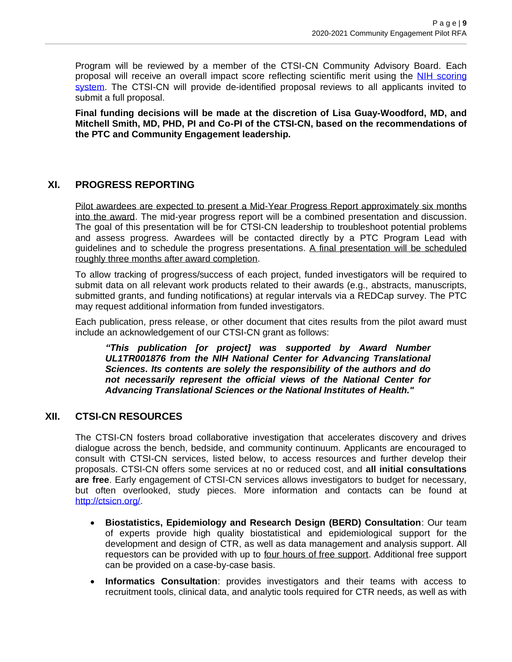Program will be reviewed by a member of the CTSI-CN Community Advisory Board. Each proposal will receive an overall impact score reflecting scientific merit using the NIH [scoring](https://grants.nih.gov/grants/peer/guidelines_general/scoring_system_and_procedure.pdf) [system.](https://grants.nih.gov/grants/peer/guidelines_general/scoring_system_and_procedure.pdf) The CTSI-CN will provide de-identified proposal reviews to all applicants invited to submit a full proposal.

**Final funding decisions will be made at the discretion of Lisa Guay-Woodford, MD, and Mitchell Smith, MD, PHD, PI and Co-PI of the CTSI-CN, based on the recommendations of the PTC and Community Engagement leadership.** 

## **XI. PROGRESS REPORTING**

Pilot awardees are expected to present a Mid-Year Progress Report approximately six months into the award. The mid-year progress report will be a combined presentation and discussion. The goal of this presentation will be for CTSI-CN leadership to troubleshoot potential problems and assess progress. Awardees will be contacted directly by a PTC Program Lead with guidelines and to schedule the progress presentations. A final presentation will be scheduled roughly three months after award completion.

To allow tracking of progress/success of each project, funded investigators will be required to submit data on all relevant work products related to their awards (e.g., abstracts, manuscripts, submitted grants, and funding notifications) at regular intervals via a REDCap survey. The PTC may request additional information from funded investigators.

Each publication, press release, or other document that cites results from the pilot award must include an acknowledgement of our CTSI-CN grant as follows:

*"This publication [or project] was supported by Award Number UL1TR001876 from the NIH National Center for Advancing Translational Sciences. Its contents are solely the responsibility of the authors and do not necessarily represent the official views of the National Center for Advancing Translational Sciences or the National Institutes of Health."*

### **XII. CTSI-CN RESOURCES**

The CTSI-CN fosters broad collaborative investigation that accelerates discovery and drives dialogue across the bench, bedside, and community continuum. Applicants are encouraged to consult with CTSI-CN services, listed below, to access resources and further develop their proposals. CTSI-CN offers some services at no or reduced cost, and **all initial consultations are free**. Early engagement of CTSI-CN services allows investigators to budget for necessary, but often overlooked, study pieces. More information and contacts can be found at [http://ctsicn.org/.](http://ctsicn.org/)

- **Biostatistics, Epidemiology and Research Design (BERD) Consultation**: Our team of experts provide high quality biostatistical and epidemiological support for the development and design of CTR, as well as data management and analysis support. All requestors can be provided with up to four hours of free support. Additional free support can be provided on a case-by-case basis.
- **Informatics Consultation**: provides investigators and their teams with access to recruitment tools, clinical data, and analytic tools required for CTR needs, as well as with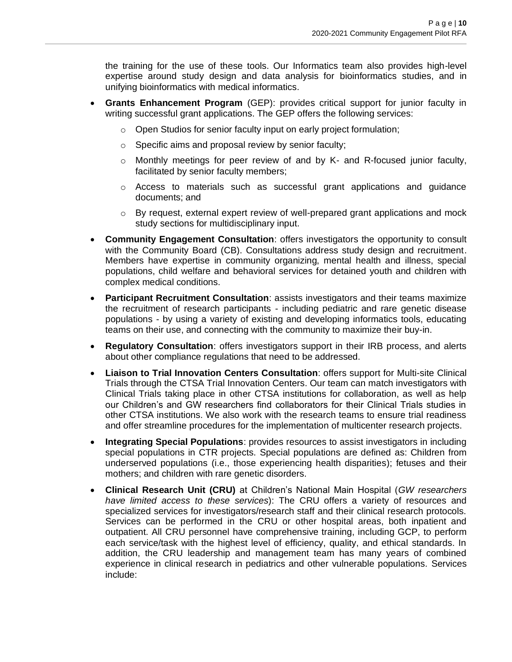the training for the use of these tools. Our Informatics team also provides high-level expertise around study design and data analysis for bioinformatics studies, and in unifying bioinformatics with medical informatics.

- **Grants Enhancement Program** (GEP): provides critical support for junior faculty in writing successful grant applications. The GEP offers the following services:
	- o Open Studios for senior faculty input on early project formulation;
	- o Specific aims and proposal review by senior faculty;
	- $\circ$  Monthly meetings for peer review of and by K- and R-focused junior faculty, facilitated by senior faculty members;
	- $\circ$  Access to materials such as successful grant applications and guidance documents; and
	- $\circ$  By request, external expert review of well-prepared grant applications and mock study sections for multidisciplinary input.
- **Community Engagement Consultation**: offers investigators the opportunity to consult with the Community Board (CB). Consultations address study design and recruitment. Members have expertise in community organizing, mental health and illness, special populations, child welfare and behavioral services for detained youth and children with complex medical conditions.
- **Participant Recruitment Consultation**: assists investigators and their teams maximize the recruitment of research participants - including pediatric and rare genetic disease populations - by using a variety of existing and developing informatics tools, educating teams on their use, and connecting with the community to maximize their buy-in.
- **Regulatory Consultation**: offers investigators support in their IRB process, and alerts about other compliance regulations that need to be addressed.
- **Liaison to Trial Innovation Centers Consultation**: offers support for Multi-site Clinical Trials through the CTSA Trial Innovation Centers. Our team can match investigators with Clinical Trials taking place in other CTSA institutions for collaboration, as well as help our Children's and GW researchers find collaborators for their Clinical Trials studies in other CTSA institutions. We also work with the research teams to ensure trial readiness and offer streamline procedures for the implementation of multicenter research projects.
- **Integrating Special Populations**: provides resources to assist investigators in including special populations in CTR projects. Special populations are defined as: Children from underserved populations (i.e., those experiencing health disparities); fetuses and their mothers; and children with rare genetic disorders.
- **Clinical Research Unit (CRU)** at Children's National Main Hospital (*GW researchers have limited access to these services*): The CRU offers a variety of resources and specialized services for investigators/research staff and their clinical research protocols. Services can be performed in the CRU or other hospital areas, both inpatient and outpatient. All CRU personnel have comprehensive training, including GCP, to perform each service/task with the highest level of efficiency, quality, and ethical standards. In addition, the CRU leadership and management team has many years of combined experience in clinical research in pediatrics and other vulnerable populations. Services include: